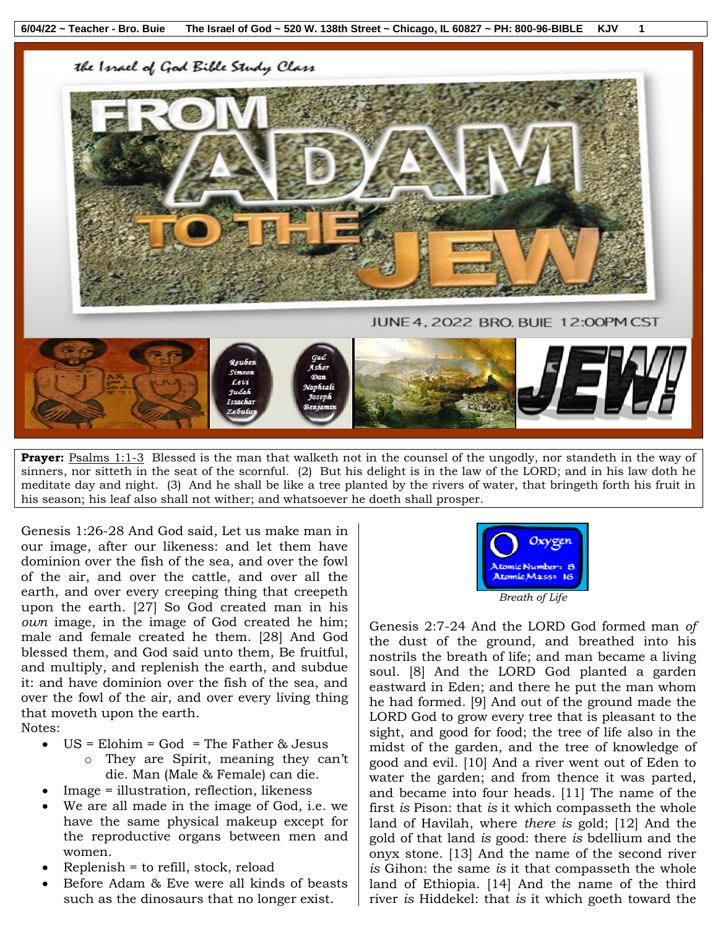the Israel of God Bible Study Class





**Prayer:** Psalms 1:1-3 Blessed is the man that walketh not in the counsel of the ungodly, nor standeth in the way of sinners, nor sitteth in the seat of the scornful. (2) But his delight is in the law of the LORD; and in his law doth he meditate day and night. (3) And he shall be like a tree planted by the rivers of water, that bringeth forth his fruit in his season; his leaf also shall not wither; and whatsoever he doeth shall prosper.

Genesis 1:26-28 And God said, Let us make man in our image, after our likeness: and let them have dominion over the fish of the sea, and over the fowl of the air, and over the cattle, and over all the earth, and over every creeping thing that creepeth upon the earth. [27] So God created man in his *own* image, in the image of God created he him; male and female created he them. [28] And God blessed them, and God said unto them, Be fruitful, and multiply, and replenish the earth, and subdue it: and have dominion over the fish of the sea, and over the fowl of the air, and over every living thing that moveth upon the earth.

Notes:

- $\bullet$  US = Elohim = God = The Father & Jesus
	- o They are Spirit, meaning they can't die. Man (Male & Female) can die.
- Image = illustration, reflection, likeness
- We are all made in the image of God, i.e. we have the same physical makeup except for the reproductive organs between men and women.
- Replenish = to refill, stock, reload
- Before Adam & Eve were all kinds of beasts such as the dinosaurs that no longer exist.



Genesis 2:7-24 And the LORD God formed man *of* the dust of the ground, and breathed into his nostrils the breath of life; and man became a living soul. [8] And the LORD God planted a garden eastward in Eden; and there he put the man whom he had formed. [9] And out of the ground made the LORD God to grow every tree that is pleasant to the sight, and good for food; the tree of life also in the midst of the garden, and the tree of knowledge of good and evil. [10] And a river went out of Eden to water the garden; and from thence it was parted, and became into four heads. [11] The name of the first *is* Pison: that *is* it which compasseth the whole land of Havilah, where *there is* gold; [12] And the gold of that land *is* good: there *is* bdellium and the onyx stone. [13] And the name of the second river *is* Gihon: the same *is* it that compasseth the whole land of Ethiopia. [14] And the name of the third river *is* Hiddekel: that *is* it which goeth toward the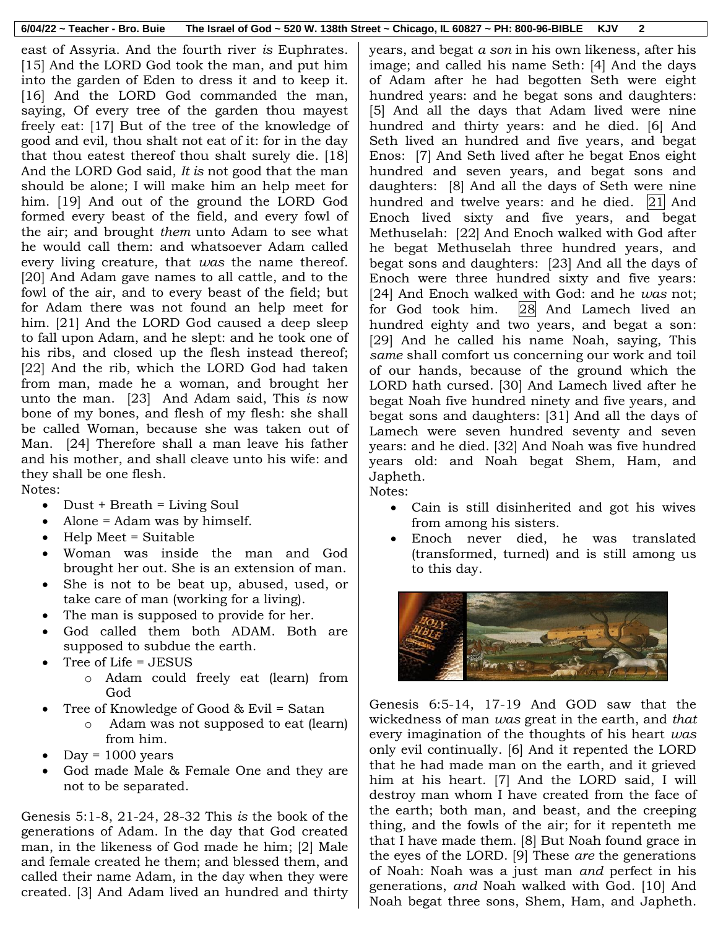|  | $6/04/22$ ~ Teacher - Bro. Buie The Israel of God ~ 520 W. 138th Street ~ Chicago, IL 60827 ~ PH: 800-96-BIBLE KJV |  |  |
|--|--------------------------------------------------------------------------------------------------------------------|--|--|
|--|--------------------------------------------------------------------------------------------------------------------|--|--|

east of Assyria. And the fourth river *is* Euphrates. [15] And the LORD God took the man, and put him into the garden of Eden to dress it and to keep it. [16] And the LORD God commanded the man, saying, Of every tree of the garden thou mayest freely eat: [17] But of the tree of the knowledge of good and evil, thou shalt not eat of it: for in the day that thou eatest thereof thou shalt surely die. [18] And the LORD God said, *It is* not good that the man should be alone; I will make him an help meet for him. [19] And out of the ground the LORD God formed every beast of the field, and every fowl of the air; and brought *them* unto Adam to see what he would call them: and whatsoever Adam called every living creature, that *was* the name thereof. [20] And Adam gave names to all cattle, and to the fowl of the air, and to every beast of the field; but for Adam there was not found an help meet for him. [21] And the LORD God caused a deep sleep to fall upon Adam, and he slept: and he took one of his ribs, and closed up the flesh instead thereof; [22] And the rib, which the LORD God had taken from man, made he a woman, and brought her unto the man. [23] And Adam said, This *is* now bone of my bones, and flesh of my flesh: she shall be called Woman, because she was taken out of Man. [24] Therefore shall a man leave his father and his mother, and shall cleave unto his wife: and they shall be one flesh.

Notes:

- $\bullet$  Dust + Breath = Living Soul
- Alone = Adam was by himself.
- Help Meet = Suitable
- Woman was inside the man and God brought her out. She is an extension of man.
- She is not to be beat up, abused, used, or take care of man (working for a living).
- The man is supposed to provide for her.
- God called them both ADAM. Both are supposed to subdue the earth.
- Tree of Life = JESUS
	- o Adam could freely eat (learn) from God
- Tree of Knowledge of Good & Evil = Satan
	- o Adam was not supposed to eat (learn) from him.
- $Day = 1000 years$
- God made Male & Female One and they are not to be separated.

Genesis 5:1-8, 21-24, 28-32 This *is* the book of the generations of Adam. In the day that God created man, in the likeness of God made he him; [2] Male and female created he them; and blessed them, and called their name Adam, in the day when they were created. [3] And Adam lived an hundred and thirty

years, and begat *a son* in his own likeness, after his image; and called his name Seth: [4] And the days of Adam after he had begotten Seth were eight hundred years: and he begat sons and daughters: [5] And all the days that Adam lived were nine hundred and thirty years: and he died. [6] And Seth lived an hundred and five years, and begat Enos: [7] And Seth lived after he begat Enos eight hundred and seven years, and begat sons and daughters: [8] And all the days of Seth were nine hundred and twelve years: and he died.  $\left|2\right|$  And Enoch lived sixty and five years, and begat Methuselah: [22] And Enoch walked with God after he begat Methuselah three hundred years, and begat sons and daughters: [23] And all the days of Enoch were three hundred sixty and five years: [24] And Enoch walked with God: and he *was* not; for God took him. 28 And Lamech lived an hundred eighty and two years, and begat a son: [29] And he called his name Noah, saying, This *same* shall comfort us concerning our work and toil of our hands, because of the ground which the LORD hath cursed. [30] And Lamech lived after he begat Noah five hundred ninety and five years, and begat sons and daughters: [31] And all the days of Lamech were seven hundred seventy and seven years: and he died. [32] And Noah was five hundred years old: and Noah begat Shem, Ham, and Japheth.

Notes:

- Cain is still disinherited and got his wives from among his sisters.
- Enoch never died, he was translated (transformed, turned) and is still among us to this day.



Genesis 6:5-14, 17-19 And GOD saw that the wickedness of man *was* great in the earth, and *that* every imagination of the thoughts of his heart *was* only evil continually. [6] And it repented the LORD that he had made man on the earth, and it grieved him at his heart. [7] And the LORD said, I will destroy man whom I have created from the face of the earth; both man, and beast, and the creeping thing, and the fowls of the air; for it repenteth me that I have made them. [8] But Noah found grace in the eyes of the LORD. [9] These *are* the generations of Noah: Noah was a just man *and* perfect in his generations, *and* Noah walked with God. [10] And Noah begat three sons, Shem, Ham, and Japheth.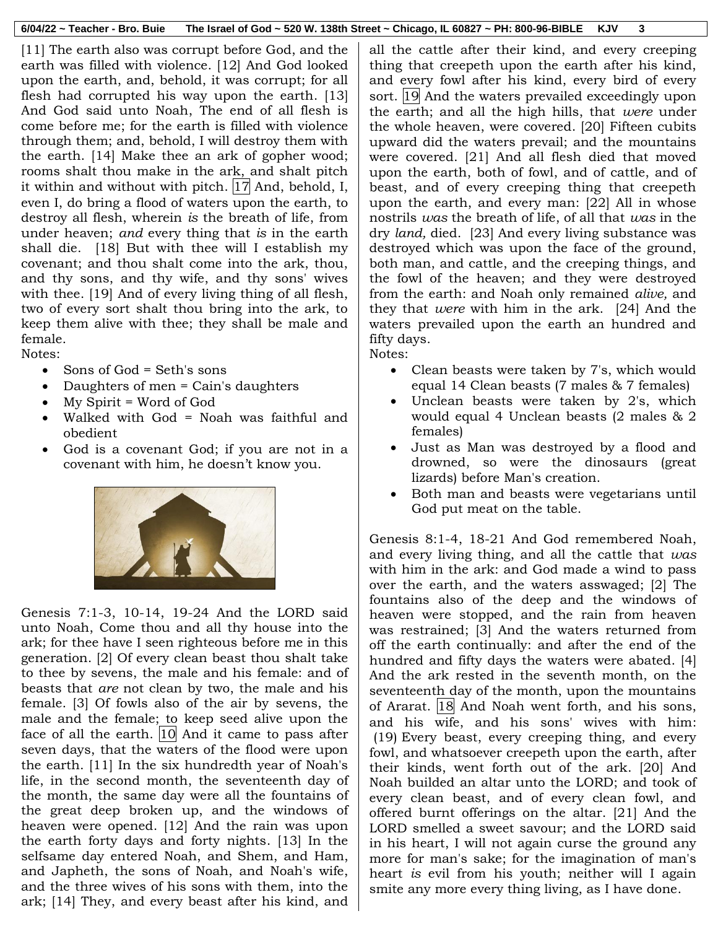[11] The earth also was corrupt before God, and the earth was filled with violence. [12] And God looked upon the earth, and, behold, it was corrupt; for all flesh had corrupted his way upon the earth. [13] And God said unto Noah, The end of all flesh is come before me; for the earth is filled with violence through them; and, behold, I will destroy them with the earth. [14] Make thee an ark of gopher wood; rooms shalt thou make in the ark, and shalt pitch it within and without with pitch.  $|17|$  And, behold, I, even I, do bring a flood of waters upon the earth, to destroy all flesh, wherein *is* the breath of life, from under heaven; *and* every thing that *is* in the earth shall die. [18] But with thee will I establish my covenant; and thou shalt come into the ark, thou, and thy sons, and thy wife, and thy sons' wives with thee. [19] And of every living thing of all flesh, two of every sort shalt thou bring into the ark, to keep them alive with thee; they shall be male and female.

Notes:

- Sons of God = Seth's sons
- Daughters of men = Cain's daughters
- My Spirit = Word of God
- Walked with God = Noah was faithful and obedient
- God is a covenant God; if you are not in a covenant with him, he doesn't know you.



Genesis 7:1-3, 10-14, 19-24 And the LORD said unto Noah, Come thou and all thy house into the ark; for thee have I seen righteous before me in this generation. [2] Of every clean beast thou shalt take to thee by sevens, the male and his female: and of beasts that *are* not clean by two, the male and his female. [3] Of fowls also of the air by sevens, the male and the female; to keep seed alive upon the face of all the earth.  $|10|$  And it came to pass after seven days, that the waters of the flood were upon the earth. [11] In the six hundredth year of Noah's life, in the second month, the seventeenth day of the month, the same day were all the fountains of the great deep broken up, and the windows of heaven were opened. [12] And the rain was upon the earth forty days and forty nights. [13] In the selfsame day entered Noah, and Shem, and Ham, and Japheth, the sons of Noah, and Noah's wife, and the three wives of his sons with them, into the ark; [14] They, and every beast after his kind, and

all the cattle after their kind, and every creeping thing that creepeth upon the earth after his kind, and every fowl after his kind, every bird of every sort. 19 And the waters prevailed exceedingly upon the earth; and all the high hills, that *were* under the whole heaven, were covered. [20] Fifteen cubits upward did the waters prevail; and the mountains were covered. [21] And all flesh died that moved upon the earth, both of fowl, and of cattle, and of beast, and of every creeping thing that creepeth upon the earth, and every man: [22] All in whose nostrils *was* the breath of life, of all that *was* in the dry *land,* died. [23] And every living substance was destroyed which was upon the face of the ground, both man, and cattle, and the creeping things, and the fowl of the heaven; and they were destroyed from the earth: and Noah only remained *alive,* and they that *were* with him in the ark. [24] And the waters prevailed upon the earth an hundred and fifty days.

Notes:

- Clean beasts were taken by 7's, which would equal 14 Clean beasts (7 males & 7 females)
- Unclean beasts were taken by 2's, which would equal 4 Unclean beasts (2 males & 2 females)
- Just as Man was destroyed by a flood and drowned, so were the dinosaurs (great lizards) before Man's creation.
- Both man and beasts were vegetarians until God put meat on the table.

Genesis 8:1-4, 18-21 And God remembered Noah, and every living thing, and all the cattle that *was* with him in the ark: and God made a wind to pass over the earth, and the waters asswaged; [2] The fountains also of the deep and the windows of heaven were stopped, and the rain from heaven was restrained; [3] And the waters returned from off the earth continually: and after the end of the hundred and fifty days the waters were abated. [4] And the ark rested in the seventh month, on the seventeenth day of the month, upon the mountains of Ararat. 18 And Noah went forth, and his sons, and his wife, and his sons' wives with him: (19) Every beast, every creeping thing, and every fowl, and whatsoever creepeth upon the earth, after their kinds, went forth out of the ark. [20] And Noah builded an altar unto the LORD; and took of every clean beast, and of every clean fowl, and offered burnt offerings on the altar. [21] And the LORD smelled a sweet savour; and the LORD said in his heart, I will not again curse the ground any more for man's sake; for the imagination of man's heart *is* evil from his youth; neither will I again smite any more every thing living, as I have done.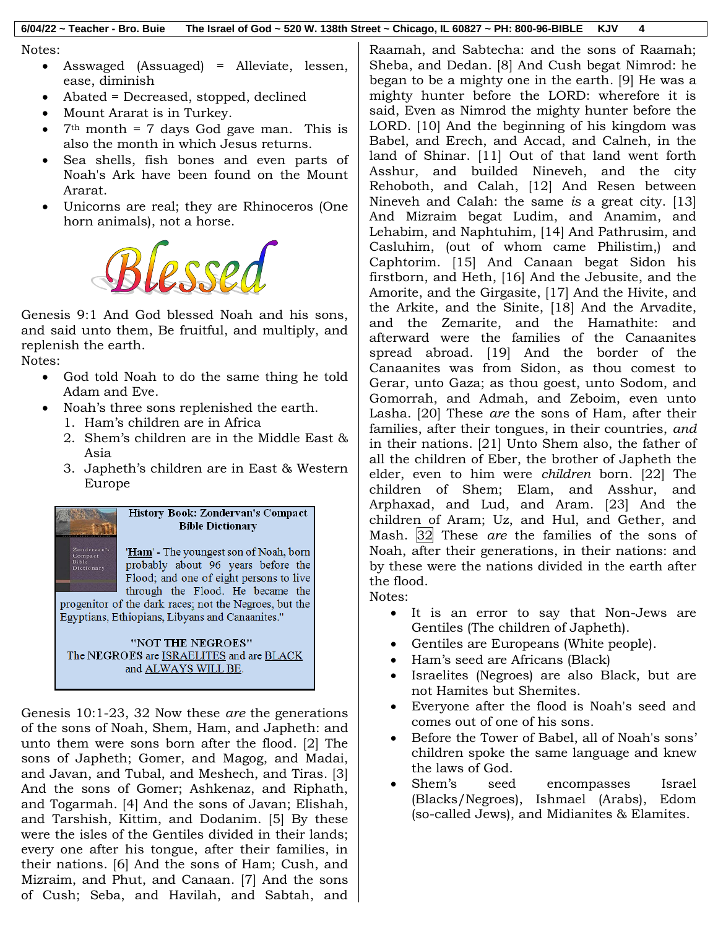#### Notes:

- Asswaged (Assuaged) = Alleviate, lessen, ease, diminish
- Abated = Decreased, stopped, declined
- Mount Ararat is in Turkey.
- $7<sup>th</sup>$  month = 7 days God gave man. This is also the month in which Jesus returns.
- Sea shells, fish bones and even parts of Noah's Ark have been found on the Mount Ararat.
- Unicorns are real; they are Rhinoceros (One horn animals), not a horse.



Genesis 9:1 And God blessed Noah and his sons, and said unto them, Be fruitful, and multiply, and replenish the earth.

### Notes:

- God told Noah to do the same thing he told Adam and Eve.
- Noah's three sons replenished the earth.
	- 1. Ham's children are in Africa
	- 2. Shem's children are in the Middle East & Asia
	- 3. Japheth's children are in East & Western Europe



Genesis 10:1-23, 32 Now these *are* the generations of the sons of Noah, Shem, Ham, and Japheth: and unto them were sons born after the flood. [2] The sons of Japheth; Gomer, and Magog, and Madai, and Javan, and Tubal, and Meshech, and Tiras. [3] And the sons of Gomer; Ashkenaz, and Riphath, and Togarmah. [4] And the sons of Javan; Elishah, and Tarshish, Kittim, and Dodanim. [5] By these were the isles of the Gentiles divided in their lands; every one after his tongue, after their families, in their nations. [6] And the sons of Ham; Cush, and Mizraim, and Phut, and Canaan. [7] And the sons of Cush; Seba, and Havilah, and Sabtah, and Raamah, and Sabtecha: and the sons of Raamah; Sheba, and Dedan. [8] And Cush begat Nimrod: he began to be a mighty one in the earth. [9] He was a mighty hunter before the LORD: wherefore it is said, Even as Nimrod the mighty hunter before the LORD. [10] And the beginning of his kingdom was Babel, and Erech, and Accad, and Calneh, in the land of Shinar. [11] Out of that land went forth Asshur, and builded Nineveh, and the city Rehoboth, and Calah, [12] And Resen between Nineveh and Calah: the same *is* a great city. [13] And Mizraim begat Ludim, and Anamim, and Lehabim, and Naphtuhim, [14] And Pathrusim, and Casluhim, (out of whom came Philistim,) and Caphtorim. [15] And Canaan begat Sidon his firstborn, and Heth, [16] And the Jebusite, and the Amorite, and the Girgasite, [17] And the Hivite, and the Arkite, and the Sinite, [18] And the Arvadite, and the Zemarite, and the Hamathite: and afterward were the families of the Canaanites spread abroad. [19] And the border of the Canaanites was from Sidon, as thou comest to Gerar, unto Gaza; as thou goest, unto Sodom, and Gomorrah, and Admah, and Zeboim, even unto Lasha. [20] These *are* the sons of Ham, after their families, after their tongues, in their countries, *and* in their nations. [21] Unto Shem also, the father of all the children of Eber, the brother of Japheth the elder, even to him were *children* born. [22] The children of Shem; Elam, and Asshur, and Arphaxad, and Lud, and Aram. [23] And the children of Aram; Uz, and Hul, and Gether, and Mash. 32 These *are* the families of the sons of Noah, after their generations, in their nations: and by these were the nations divided in the earth after the flood.

- Notes:
	- It is an error to say that Non-Jews are Gentiles (The children of Japheth).
	- Gentiles are Europeans (White people).
	- Ham's seed are Africans (Black)
	- Israelites (Negroes) are also Black, but are not Hamites but Shemites.
	- Everyone after the flood is Noah's seed and comes out of one of his sons.
	- Before the Tower of Babel, all of Noah's sons' children spoke the same language and knew the laws of God.
	- Shem's seed encompasses Israel (Blacks/Negroes), Ishmael (Arabs), Edom (so-called Jews), and Midianites & Elamites.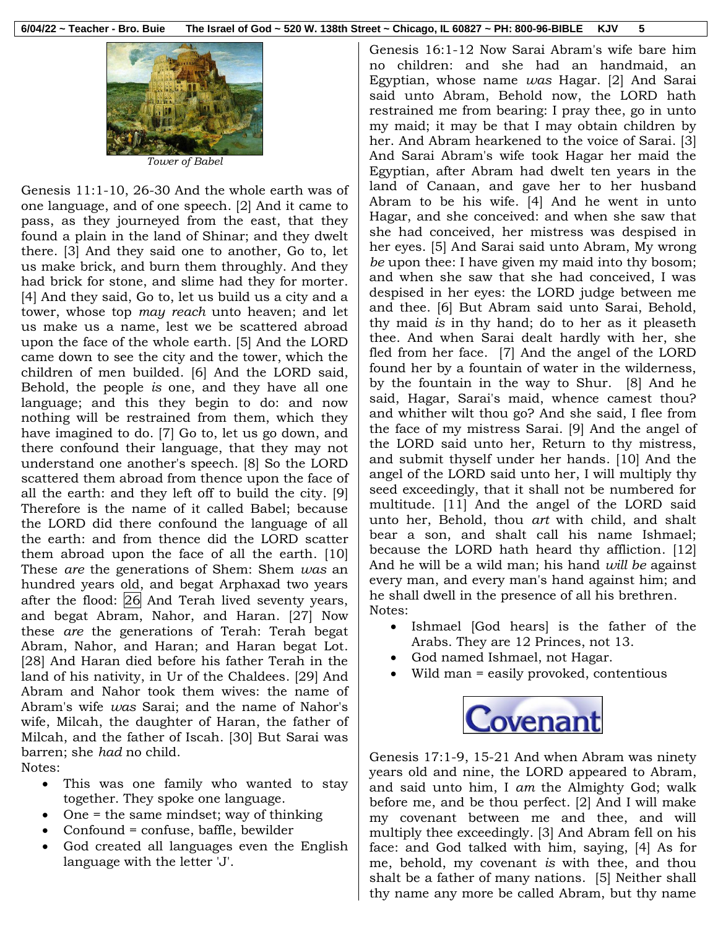

*Tower of Babel*

Genesis 11:1-10, 26-30 And the whole earth was of one language, and of one speech. [2] And it came to pass, as they journeyed from the east, that they found a plain in the land of Shinar; and they dwelt there. [3] And they said one to another, Go to, let us make brick, and burn them throughly. And they had brick for stone, and slime had they for morter. [4] And they said, Go to, let us build us a city and a tower, whose top *may reach* unto heaven; and let us make us a name, lest we be scattered abroad upon the face of the whole earth. [5] And the LORD came down to see the city and the tower, which the children of men builded. [6] And the LORD said, Behold, the people *is* one, and they have all one language; and this they begin to do: and now nothing will be restrained from them, which they have imagined to do. [7] Go to, let us go down, and there confound their language, that they may not understand one another's speech. [8] So the LORD scattered them abroad from thence upon the face of all the earth: and they left off to build the city. [9] Therefore is the name of it called Babel; because the LORD did there confound the language of all the earth: and from thence did the LORD scatter them abroad upon the face of all the earth. [10] These *are* the generations of Shem: Shem *was* an hundred years old, and begat Arphaxad two years after the flood: 26 And Terah lived seventy years, and begat Abram, Nahor, and Haran. [27] Now these *are* the generations of Terah: Terah begat Abram, Nahor, and Haran; and Haran begat Lot. [28] And Haran died before his father Terah in the land of his nativity, in Ur of the Chaldees. [29] And Abram and Nahor took them wives: the name of Abram's wife *was* Sarai; and the name of Nahor's wife, Milcah, the daughter of Haran, the father of Milcah, and the father of Iscah. [30] But Sarai was barren; she *had* no child. Notes:

- This was one family who wanted to stay together. They spoke one language.
- One = the same mindset; way of thinking
- Confound = confuse, baffle, bewilder
- God created all languages even the English language with the letter 'J'.

Genesis 16:1-12 Now Sarai Abram's wife bare him no children: and she had an handmaid, an Egyptian, whose name *was* Hagar. [2] And Sarai said unto Abram, Behold now, the LORD hath restrained me from bearing: I pray thee, go in unto my maid; it may be that I may obtain children by her. And Abram hearkened to the voice of Sarai. [3] And Sarai Abram's wife took Hagar her maid the Egyptian, after Abram had dwelt ten years in the land of Canaan, and gave her to her husband Abram to be his wife. [4] And he went in unto Hagar, and she conceived: and when she saw that she had conceived, her mistress was despised in her eyes. [5] And Sarai said unto Abram, My wrong *be* upon thee: I have given my maid into thy bosom; and when she saw that she had conceived, I was despised in her eyes: the LORD judge between me and thee. [6] But Abram said unto Sarai, Behold, thy maid *is* in thy hand; do to her as it pleaseth thee. And when Sarai dealt hardly with her, she fled from her face. [7] And the angel of the LORD found her by a fountain of water in the wilderness, by the fountain in the way to Shur. [8] And he said, Hagar, Sarai's maid, whence camest thou? and whither wilt thou go? And she said, I flee from the face of my mistress Sarai. [9] And the angel of the LORD said unto her, Return to thy mistress, and submit thyself under her hands. [10] And the angel of the LORD said unto her, I will multiply thy seed exceedingly, that it shall not be numbered for multitude. [11] And the angel of the LORD said unto her, Behold, thou *art* with child, and shalt bear a son, and shalt call his name Ishmael; because the LORD hath heard thy affliction. [12] And he will be a wild man; his hand *will be* against every man, and every man's hand against him; and he shall dwell in the presence of all his brethren. Notes:

- Ishmael [God hears] is the father of the Arabs. They are 12 Princes, not 13.
- God named Ishmael, not Hagar.
- Wild man = easily provoked, contentious



Genesis 17:1-9, 15-21 And when Abram was ninety years old and nine, the LORD appeared to Abram, and said unto him, I *am* the Almighty God; walk before me, and be thou perfect. [2] And I will make my covenant between me and thee, and will multiply thee exceedingly. [3] And Abram fell on his face: and God talked with him, saying, [4] As for me, behold, my covenant *is* with thee, and thou shalt be a father of many nations. [5] Neither shall thy name any more be called Abram, but thy name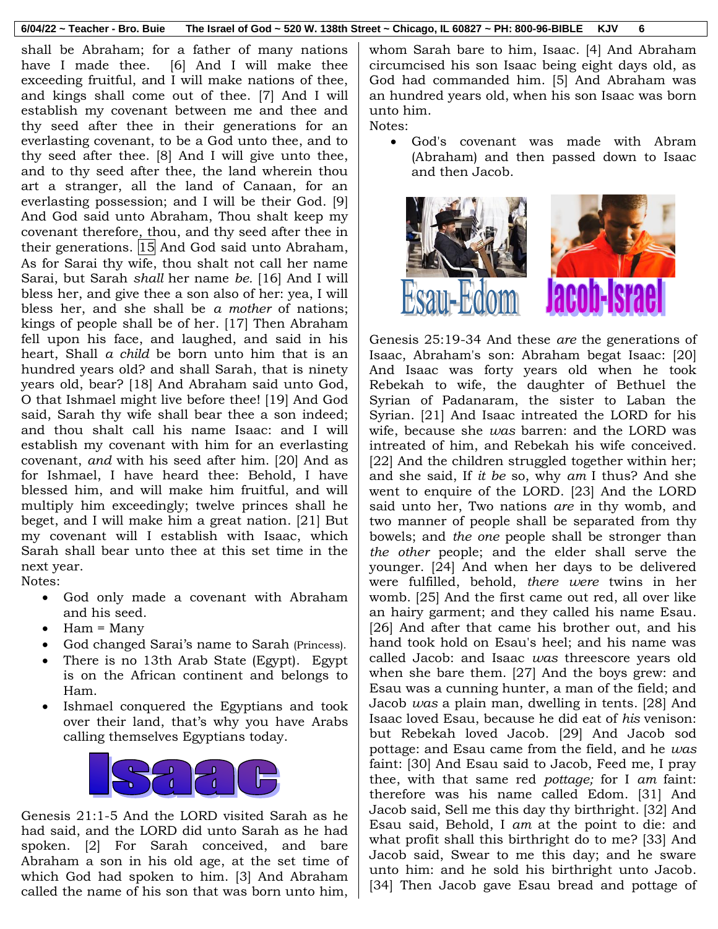#### **6/04/22 ~ Teacher - Bro. Buie The Israel of God ~ 520 W. 138th Street ~ Chicago, IL 60827 ~ PH: 800-96-BIBLE KJV 6**

shall be Abraham; for a father of many nations have I made thee. [6] And I will make thee exceeding fruitful, and I will make nations of thee, and kings shall come out of thee. [7] And I will establish my covenant between me and thee and thy seed after thee in their generations for an everlasting covenant, to be a God unto thee, and to thy seed after thee. [8] And I will give unto thee, and to thy seed after thee, the land wherein thou art a stranger, all the land of Canaan, for an everlasting possession; and I will be their God. [9] And God said unto Abraham, Thou shalt keep my covenant therefore, thou, and thy seed after thee in their generations.  $|15|$  And God said unto Abraham, As for Sarai thy wife, thou shalt not call her name Sarai, but Sarah *shall* her name *be.* [16] And I will bless her, and give thee a son also of her: yea, I will bless her, and she shall be *a mother* of nations; kings of people shall be of her. [17] Then Abraham fell upon his face, and laughed, and said in his heart, Shall *a child* be born unto him that is an hundred years old? and shall Sarah, that is ninety years old, bear? [18] And Abraham said unto God, O that Ishmael might live before thee! [19] And God said, Sarah thy wife shall bear thee a son indeed; and thou shalt call his name Isaac: and I will establish my covenant with him for an everlasting covenant, *and* with his seed after him. [20] And as for Ishmael, I have heard thee: Behold, I have blessed him, and will make him fruitful, and will multiply him exceedingly; twelve princes shall he beget, and I will make him a great nation. [21] But my covenant will I establish with Isaac, which Sarah shall bear unto thee at this set time in the next year.

Notes:

- God only made a covenant with Abraham and his seed.
- Ham = Many
- God changed Sarai's name to Sarah (Princess).
- There is no 13th Arab State (Egypt). Egypt is on the African continent and belongs to Ham.
- Ishmael conquered the Egyptians and took over their land, that's why you have Arabs calling themselves Egyptians today.



Genesis 21:1-5 And the LORD visited Sarah as he had said, and the LORD did unto Sarah as he had spoken. [2] For Sarah conceived, and bare Abraham a son in his old age, at the set time of which God had spoken to him. [3] And Abraham called the name of his son that was born unto him,

whom Sarah bare to him, Isaac. [4] And Abraham circumcised his son Isaac being eight days old, as God had commanded him. [5] And Abraham was an hundred years old, when his son Isaac was born unto him.

Notes:

 God's covenant was made with Abram (Abraham) and then passed down to Isaac and then Jacob.



Genesis 25:19-34 And these *are* the generations of Isaac, Abraham's son: Abraham begat Isaac: [20] And Isaac was forty years old when he took Rebekah to wife, the daughter of Bethuel the Syrian of Padanaram, the sister to Laban the Syrian. [21] And Isaac intreated the LORD for his wife, because she *was* barren: and the LORD was intreated of him, and Rebekah his wife conceived. [22] And the children struggled together within her; and she said, If *it be* so, why *am* I thus? And she went to enquire of the LORD. [23] And the LORD said unto her, Two nations *are* in thy womb, and two manner of people shall be separated from thy bowels; and *the one* people shall be stronger than *the other* people; and the elder shall serve the younger. [24] And when her days to be delivered were fulfilled, behold, *there were* twins in her womb. [25] And the first came out red, all over like an hairy garment; and they called his name Esau. [26] And after that came his brother out, and his hand took hold on Esau's heel; and his name was called Jacob: and Isaac *was* threescore years old when she bare them. [27] And the boys grew: and Esau was a cunning hunter, a man of the field; and Jacob *was* a plain man, dwelling in tents. [28] And Isaac loved Esau, because he did eat of *his* venison: but Rebekah loved Jacob. [29] And Jacob sod pottage: and Esau came from the field, and he *was* faint: [30] And Esau said to Jacob, Feed me, I pray thee, with that same red *pottage;* for I *am* faint: therefore was his name called Edom. [31] And Jacob said, Sell me this day thy birthright. [32] And Esau said, Behold, I *am* at the point to die: and what profit shall this birthright do to me? [33] And Jacob said, Swear to me this day; and he sware unto him: and he sold his birthright unto Jacob. [34] Then Jacob gave Esau bread and pottage of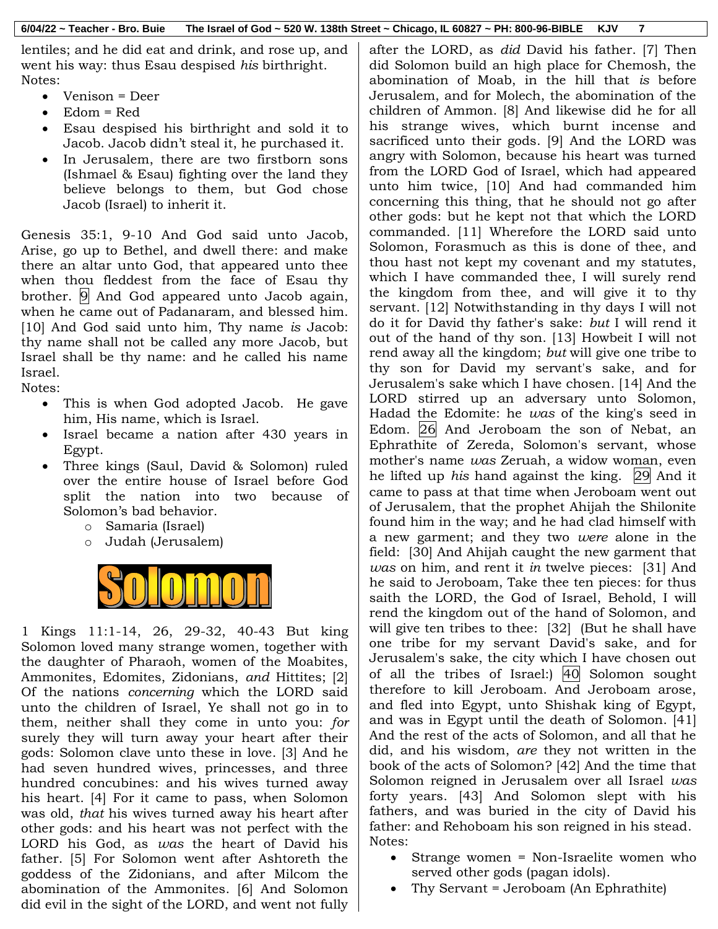lentiles; and he did eat and drink, and rose up, and went his way: thus Esau despised *his* birthright. Notes:

- Venison = Deer
- Edom = Red
- Esau despised his birthright and sold it to Jacob. Jacob didn't steal it, he purchased it.
- In Jerusalem, there are two firstborn sons (Ishmael & Esau) fighting over the land they believe belongs to them, but God chose Jacob (Israel) to inherit it.

Genesis 35:1, 9-10 And God said unto Jacob, Arise, go up to Bethel, and dwell there: and make there an altar unto God, that appeared unto thee when thou fleddest from the face of Esau thy brother. 9 And God appeared unto Jacob again, when he came out of Padanaram, and blessed him. [10] And God said unto him, Thy name *is* Jacob: thy name shall not be called any more Jacob, but Israel shall be thy name: and he called his name Israel.

Notes:

- This is when God adopted Jacob. He gave him, His name, which is Israel.
- Israel became a nation after 430 years in Egypt.
- Three kings (Saul, David & Solomon) ruled over the entire house of Israel before God split the nation into two because of Solomon's bad behavior.
	- o Samaria (Israel)
	- o Judah (Jerusalem)



1 Kings 11:1-14, 26, 29-32, 40-43 But king Solomon loved many strange women, together with the daughter of Pharaoh, women of the Moabites, Ammonites, Edomites, Zidonians, *and* Hittites; [2] Of the nations *concerning* which the LORD said unto the children of Israel, Ye shall not go in to them, neither shall they come in unto you: *for* surely they will turn away your heart after their gods: Solomon clave unto these in love. [3] And he had seven hundred wives, princesses, and three hundred concubines: and his wives turned away his heart. [4] For it came to pass, when Solomon was old, *that* his wives turned away his heart after other gods: and his heart was not perfect with the LORD his God, as *was* the heart of David his father. [5] For Solomon went after Ashtoreth the goddess of the Zidonians, and after Milcom the abomination of the Ammonites. [6] And Solomon did evil in the sight of the LORD, and went not fully after the LORD, as *did* David his father. [7] Then did Solomon build an high place for Chemosh, the abomination of Moab, in the hill that *is* before Jerusalem, and for Molech, the abomination of the children of Ammon. [8] And likewise did he for all his strange wives, which burnt incense and sacrificed unto their gods. [9] And the LORD was angry with Solomon, because his heart was turned from the LORD God of Israel, which had appeared unto him twice, [10] And had commanded him concerning this thing, that he should not go after other gods: but he kept not that which the LORD commanded. [11] Wherefore the LORD said unto Solomon, Forasmuch as this is done of thee, and thou hast not kept my covenant and my statutes, which I have commanded thee, I will surely rend the kingdom from thee, and will give it to thy servant. [12] Notwithstanding in thy days I will not do it for David thy father's sake: *but* I will rend it out of the hand of thy son. [13] Howbeit I will not rend away all the kingdom; *but* will give one tribe to thy son for David my servant's sake, and for Jerusalem's sake which I have chosen. [14] And the LORD stirred up an adversary unto Solomon, Hadad the Edomite: he *was* of the king's seed in Edom. 26 And Jeroboam the son of Nebat, an Ephrathite of Zereda, Solomon's servant, whose mother's name *was* Zeruah, a widow woman, even he lifted up *his* hand against the king. 29 And it came to pass at that time when Jeroboam went out of Jerusalem, that the prophet Ahijah the Shilonite found him in the way; and he had clad himself with a new garment; and they two *were* alone in the field: [30] And Ahijah caught the new garment that *was* on him, and rent it *in* twelve pieces: [31] And he said to Jeroboam, Take thee ten pieces: for thus saith the LORD, the God of Israel, Behold, I will rend the kingdom out of the hand of Solomon, and will give ten tribes to thee: [32] (But he shall have one tribe for my servant David's sake, and for Jerusalem's sake, the city which I have chosen out of all the tribes of Israel:) 40 Solomon sought therefore to kill Jeroboam. And Jeroboam arose, and fled into Egypt, unto Shishak king of Egypt, and was in Egypt until the death of Solomon. [41] And the rest of the acts of Solomon, and all that he did, and his wisdom, *are* they not written in the book of the acts of Solomon? [42] And the time that Solomon reigned in Jerusalem over all Israel *was* forty years. [43] And Solomon slept with his fathers, and was buried in the city of David his father: and Rehoboam his son reigned in his stead. Notes:

- Strange women = Non-Israelite women who served other gods (pagan idols).
- Thy Servant = Jeroboam (An Ephrathite)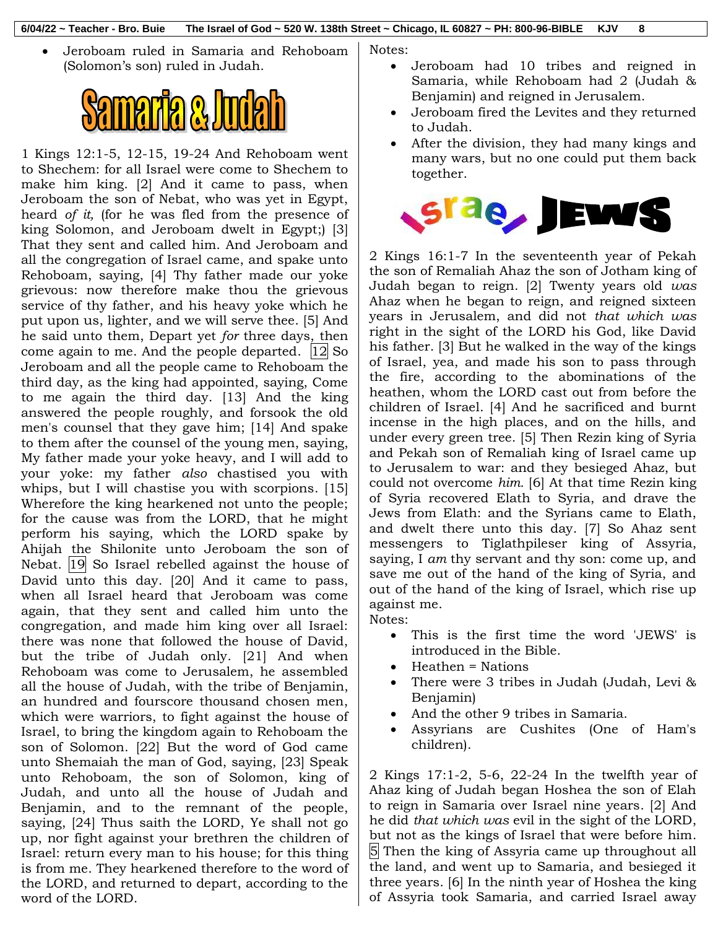Jeroboam ruled in Samaria and Rehoboam (Solomon's son) ruled in Judah.



1 Kings 12:1-5, 12-15, 19-24 And Rehoboam went to Shechem: for all Israel were come to Shechem to make him king. [2] And it came to pass, when Jeroboam the son of Nebat, who was yet in Egypt, heard *of it,* (for he was fled from the presence of king Solomon, and Jeroboam dwelt in Egypt;) [3] That they sent and called him. And Jeroboam and all the congregation of Israel came, and spake unto Rehoboam, saying, [4] Thy father made our yoke grievous: now therefore make thou the grievous service of thy father, and his heavy yoke which he put upon us, lighter, and we will serve thee. [5] And he said unto them, Depart yet *for* three days, then come again to me. And the people departed. 12 So Jeroboam and all the people came to Rehoboam the third day, as the king had appointed, saying, Come to me again the third day. [13] And the king answered the people roughly, and forsook the old men's counsel that they gave him; [14] And spake to them after the counsel of the young men, saying, My father made your yoke heavy, and I will add to your yoke: my father *also* chastised you with whips, but I will chastise you with scorpions. [15] Wherefore the king hearkened not unto the people; for the cause was from the LORD, that he might perform his saying, which the LORD spake by Ahijah the Shilonite unto Jeroboam the son of Nebat. 19 So Israel rebelled against the house of David unto this day. [20] And it came to pass, when all Israel heard that Jeroboam was come again, that they sent and called him unto the congregation, and made him king over all Israel: there was none that followed the house of David, but the tribe of Judah only. [21] And when Rehoboam was come to Jerusalem, he assembled all the house of Judah, with the tribe of Benjamin, an hundred and fourscore thousand chosen men, which were warriors, to fight against the house of Israel, to bring the kingdom again to Rehoboam the son of Solomon. [22] But the word of God came unto Shemaiah the man of God, saying, [23] Speak unto Rehoboam, the son of Solomon, king of Judah, and unto all the house of Judah and Benjamin, and to the remnant of the people, saying, [24] Thus saith the LORD, Ye shall not go up, nor fight against your brethren the children of Israel: return every man to his house; for this thing is from me. They hearkened therefore to the word of the LORD, and returned to depart, according to the word of the LORD.

Notes:

- Jeroboam had 10 tribes and reigned in Samaria, while Rehoboam had 2 (Judah & Benjamin) and reigned in Jerusalem.
- Jeroboam fired the Levites and they returned to Judah.
- After the division, they had many kings and many wars, but no one could put them back together.



2 Kings 16:1-7 In the seventeenth year of Pekah the son of Remaliah Ahaz the son of Jotham king of Judah began to reign. [2] Twenty years old *was* Ahaz when he began to reign, and reigned sixteen years in Jerusalem, and did not *that which was* right in the sight of the LORD his God, like David his father. [3] But he walked in the way of the kings of Israel, yea, and made his son to pass through the fire, according to the abominations of the heathen, whom the LORD cast out from before the children of Israel. [4] And he sacrificed and burnt incense in the high places, and on the hills, and under every green tree. [5] Then Rezin king of Syria and Pekah son of Remaliah king of Israel came up to Jerusalem to war: and they besieged Ahaz, but could not overcome *him.* [6] At that time Rezin king of Syria recovered Elath to Syria, and drave the Jews from Elath: and the Syrians came to Elath, and dwelt there unto this day. [7] So Ahaz sent messengers to Tiglathpileser king of Assyria, saying, I *am* thy servant and thy son: come up, and save me out of the hand of the king of Syria, and out of the hand of the king of Israel, which rise up against me. Notes:

- This is the first time the word 'JEWS' is introduced in the Bible.
- Heathen = Nations
- There were 3 tribes in Judah (Judah, Levi & Benjamin)
- And the other 9 tribes in Samaria.
- Assyrians are Cushites (One of Ham's children).

2 Kings 17:1-2, 5-6, 22-24 In the twelfth year of Ahaz king of Judah began Hoshea the son of Elah to reign in Samaria over Israel nine years. [2] And he did *that which was* evil in the sight of the LORD, but not as the kings of Israel that were before him. 5 Then the king of Assyria came up throughout all the land, and went up to Samaria, and besieged it three years. [6] In the ninth year of Hoshea the king of Assyria took Samaria, and carried Israel away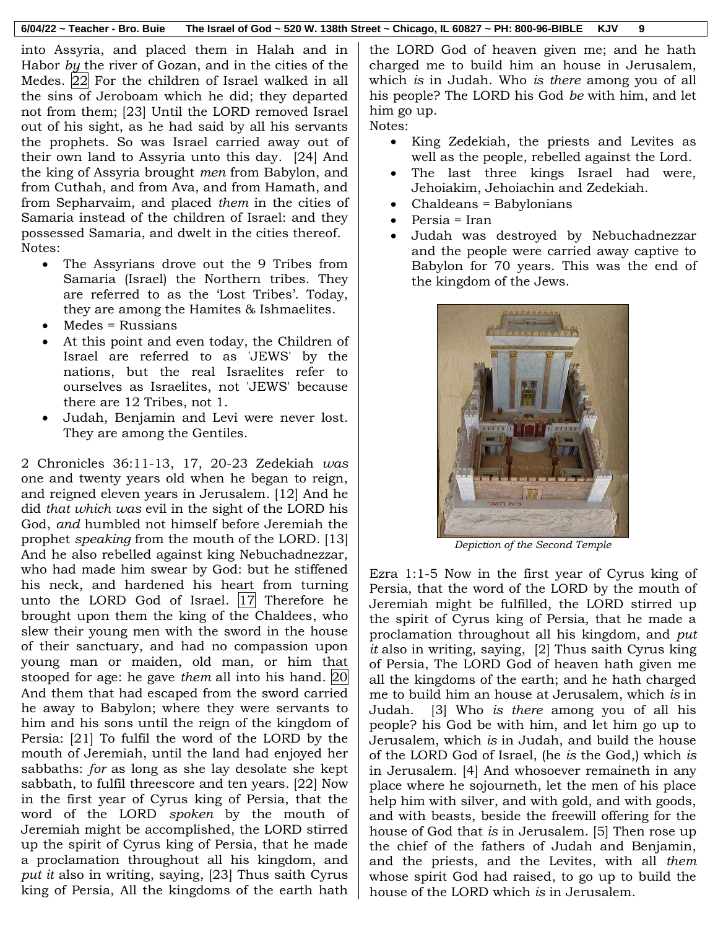into Assyria, and placed them in Halah and in Habor *by* the river of Gozan, and in the cities of the Medes. 22 For the children of Israel walked in all the sins of Jeroboam which he did; they departed not from them; [23] Until the LORD removed Israel out of his sight, as he had said by all his servants the prophets. So was Israel carried away out of their own land to Assyria unto this day. [24] And the king of Assyria brought *men* from Babylon, and from Cuthah, and from Ava, and from Hamath, and from Sepharvaim, and placed *them* in the cities of Samaria instead of the children of Israel: and they possessed Samaria, and dwelt in the cities thereof. Notes:

- The Assyrians drove out the 9 Tribes from Samaria (Israel) the Northern tribes. They are referred to as the 'Lost Tribes'. Today, they are among the Hamites & Ishmaelites.
- $\bullet$  Medes = Russians
- At this point and even today, the Children of Israel are referred to as 'JEWS' by the nations, but the real Israelites refer to ourselves as Israelites, not 'JEWS' because there are 12 Tribes, not 1.
- Judah, Benjamin and Levi were never lost. They are among the Gentiles.

2 Chronicles 36:11-13, 17, 20-23 Zedekiah *was* one and twenty years old when he began to reign, and reigned eleven years in Jerusalem. [12] And he did *that which was* evil in the sight of the LORD his God, *and* humbled not himself before Jeremiah the prophet *speaking* from the mouth of the LORD. [13] And he also rebelled against king Nebuchadnezzar, who had made him swear by God: but he stiffened his neck, and hardened his heart from turning unto the LORD God of Israel. |17| Therefore he brought upon them the king of the Chaldees, who slew their young men with the sword in the house of their sanctuary, and had no compassion upon young man or maiden, old man, or him that stooped for age: he gave *them* all into his hand. 20 And them that had escaped from the sword carried he away to Babylon; where they were servants to him and his sons until the reign of the kingdom of Persia: [21] To fulfil the word of the LORD by the mouth of Jeremiah, until the land had enjoyed her sabbaths: *for* as long as she lay desolate she kept sabbath, to fulfil threescore and ten years. [22] Now in the first year of Cyrus king of Persia, that the word of the LORD *spoken* by the mouth of Jeremiah might be accomplished, the LORD stirred up the spirit of Cyrus king of Persia, that he made a proclamation throughout all his kingdom, and *put it* also in writing, saying, [23] Thus saith Cyrus king of Persia, All the kingdoms of the earth hath

the LORD God of heaven given me; and he hath charged me to build him an house in Jerusalem, which *is* in Judah. Who *is there* among you of all his people? The LORD his God *be* with him, and let him go up.

Notes:

- King Zedekiah, the priests and Levites as well as the people, rebelled against the Lord.
- The last three kings Israel had were, Jehoiakim, Jehoiachin and Zedekiah.
- Chaldeans = Babylonians
- Persia = Iran
- Judah was destroyed by Nebuchadnezzar and the people were carried away captive to Babylon for 70 years. This was the end of the kingdom of the Jews.



*Depiction of the Second Temple*

Ezra 1:1-5 Now in the first year of Cyrus king of Persia, that the word of the LORD by the mouth of Jeremiah might be fulfilled, the LORD stirred up the spirit of Cyrus king of Persia, that he made a proclamation throughout all his kingdom, and *put it* also in writing, saying, [2] Thus saith Cyrus king of Persia, The LORD God of heaven hath given me all the kingdoms of the earth; and he hath charged me to build him an house at Jerusalem, which *is* in Judah. [3] Who *is there* among you of all his people? his God be with him, and let him go up to Jerusalem, which *is* in Judah, and build the house of the LORD God of Israel, (he *is* the God,) which *is* in Jerusalem. [4] And whosoever remaineth in any place where he sojourneth, let the men of his place help him with silver, and with gold, and with goods, and with beasts, beside the freewill offering for the house of God that *is* in Jerusalem. [5] Then rose up the chief of the fathers of Judah and Benjamin, and the priests, and the Levites, with all *them* whose spirit God had raised, to go up to build the house of the LORD which *is* in Jerusalem.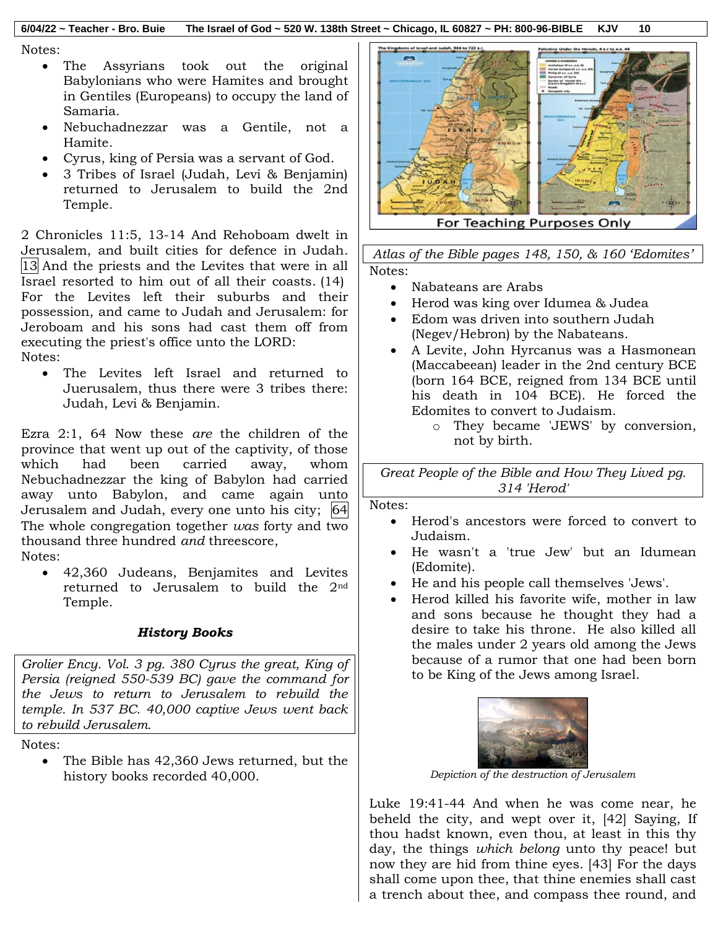#### **6/04/22 ~ Teacher - Bro. Buie The Israel of God ~ 520 W. 138th Street ~ Chicago, IL 60827 ~ PH: 800-96-BIBLE KJV 10**

Notes:

- The Assyrians took out the original Babylonians who were Hamites and brought in Gentiles (Europeans) to occupy the land of Samaria.
- Nebuchadnezzar was a Gentile, not a Hamite.
- Cyrus, king of Persia was a servant of God.
- 3 Tribes of Israel (Judah, Levi & Benjamin) returned to Jerusalem to build the 2nd Temple.

2 Chronicles 11:5, 13-14 And Rehoboam dwelt in Jerusalem, and built cities for defence in Judah. 13 And the priests and the Levites that were in all Israel resorted to him out of all their coasts. (14) For the Levites left their suburbs and their possession, and came to Judah and Jerusalem: for Jeroboam and his sons had cast them off from executing the priest's office unto the LORD: Notes:

 The Levites left Israel and returned to Juerusalem, thus there were 3 tribes there: Judah, Levi & Benjamin.

Ezra 2:1, 64 Now these *are* the children of the province that went up out of the captivity, of those which had been carried away, whom Nebuchadnezzar the king of Babylon had carried away unto Babylon, and came again unto Jerusalem and Judah, every one unto his city; 64 The whole congregation together *was* forty and two thousand three hundred *and* threescore,

Notes:

 42,360 Judeans, Benjamites and Levites returned to Jerusalem to build the 2nd Temple.

### *History Books*

*Grolier Ency. Vol. 3 pg. 380 Cyrus the great, King of Persia (reigned 550-539 BC) gave the command for the Jews to return to Jerusalem to rebuild the temple. In 537 BC. 40,000 captive Jews went back to rebuild Jerusalem.*

Notes:

• The Bible has 42,360 Jews returned, but the history books recorded 40,000.



For Teaching Purposes Only

*Atlas of the Bible pages 148, 150, & 160 'Edomites'* Notes:

- Nabateans are Arabs
- Herod was king over Idumea & Judea
- Edom was driven into southern Judah (Negev/Hebron) by the Nabateans.
- A Levite, John Hyrcanus was a Hasmonean (Maccabeean) leader in the 2nd century BCE (born 164 BCE, reigned from 134 BCE until his death in 104 BCE). He forced the Edomites to convert to Judaism.
	- o They became 'JEWS' by conversion, not by birth.

*Great People of the Bible and How They Lived pg. 314 'Herod'*

### Notes:

- Herod's ancestors were forced to convert to Judaism.
- He wasn't a 'true Jew' but an Idumean (Edomite).
- He and his people call themselves 'Jews'.
- Herod killed his favorite wife, mother in law and sons because he thought they had a desire to take his throne. He also killed all the males under 2 years old among the Jews because of a rumor that one had been born to be King of the Jews among Israel.



*Depiction of the destruction of Jerusalem*

Luke 19:41-44 And when he was come near, he beheld the city, and wept over it, [42] Saying, If thou hadst known, even thou, at least in this thy day, the things *which belong* unto thy peace! but now they are hid from thine eyes. [43] For the days shall come upon thee, that thine enemies shall cast a trench about thee, and compass thee round, and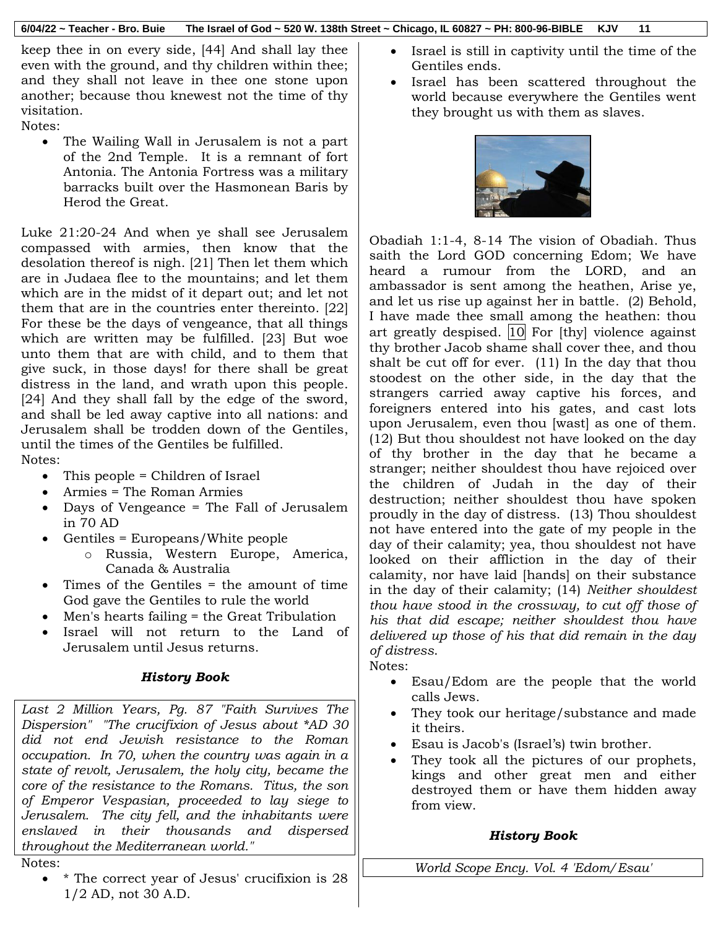keep thee in on every side, [44] And shall lay thee even with the ground, and thy children within thee; and they shall not leave in thee one stone upon another; because thou knewest not the time of thy visitation.

Notes:

 The Wailing Wall in Jerusalem is not a part of the 2nd Temple. It is a remnant of fort Antonia. The Antonia Fortress was a military barracks built over the Hasmonean Baris by Herod the Great.

Luke 21:20-24 And when ye shall see Jerusalem compassed with armies, then know that the desolation thereof is nigh. [21] Then let them which are in Judaea flee to the mountains; and let them which are in the midst of it depart out; and let not them that are in the countries enter thereinto. [22] For these be the days of vengeance, that all things which are written may be fulfilled. [23] But woe unto them that are with child, and to them that give suck, in those days! for there shall be great distress in the land, and wrath upon this people. [24] And they shall fall by the edge of the sword, and shall be led away captive into all nations: and Jerusalem shall be trodden down of the Gentiles, until the times of the Gentiles be fulfilled. Notes:

- This people = Children of Israel
- Armies = The Roman Armies
- Days of Vengeance = The Fall of Jerusalem in 70 AD
- Gentiles = Europeans/White people
	- o Russia, Western Europe, America, Canada & Australia
- Times of the Gentiles = the amount of time God gave the Gentiles to rule the world
- Men's hearts failing = the Great Tribulation
- Israel will not return to the Land of Jerusalem until Jesus returns.

# *History Book*

*Last 2 Million Years, Pg. 87 "Faith Survives The Dispersion" "The crucifixion of Jesus about \*AD 30 did not end Jewish resistance to the Roman occupation. In 70, when the country was again in a state of revolt, Jerusalem, the holy city, became the core of the resistance to the Romans. Titus, the son of Emperor Vespasian, proceeded to lay siege to Jerusalem. The city fell, and the inhabitants were enslaved in their thousands and dispersed throughout the Mediterranean world."* 

- Notes:
	- \* The correct year of Jesus' crucifixion is 28 1/2 AD, not 30 A.D.
- Israel is still in captivity until the time of the Gentiles ends.
- Israel has been scattered throughout the world because everywhere the Gentiles went they brought us with them as slaves.



Obadiah 1:1-4, 8-14 The vision of Obadiah. Thus saith the Lord GOD concerning Edom; We have heard a rumour from the LORD, and an ambassador is sent among the heathen, Arise ye, and let us rise up against her in battle. (2) Behold, I have made thee small among the heathen: thou art greatly despised.  $|10|$  For [thy] violence against thy brother Jacob shame shall cover thee, and thou shalt be cut off for ever. (11) In the day that thou stoodest on the other side, in the day that the strangers carried away captive his forces, and foreigners entered into his gates, and cast lots upon Jerusalem, even thou [wast] as one of them. (12) But thou shouldest not have looked on the day of thy brother in the day that he became a stranger; neither shouldest thou have rejoiced over the children of Judah in the day of their destruction; neither shouldest thou have spoken proudly in the day of distress. (13) Thou shouldest not have entered into the gate of my people in the day of their calamity; yea, thou shouldest not have looked on their affliction in the day of their calamity, nor have laid [hands] on their substance in the day of their calamity; (14) *Neither shouldest thou have stood in the crossway, to cut off those of his that did escape; neither shouldest thou have delivered up those of his that did remain in the day of distress*.

Notes:

- Esau/Edom are the people that the world calls Jews.
- They took our heritage/substance and made it theirs.
- Esau is Jacob's (Israel's) twin brother.
- They took all the pictures of our prophets, kings and other great men and either destroyed them or have them hidden away from view.

# *History Book*

*World Scope Ency. Vol. 4 'Edom/Esau'*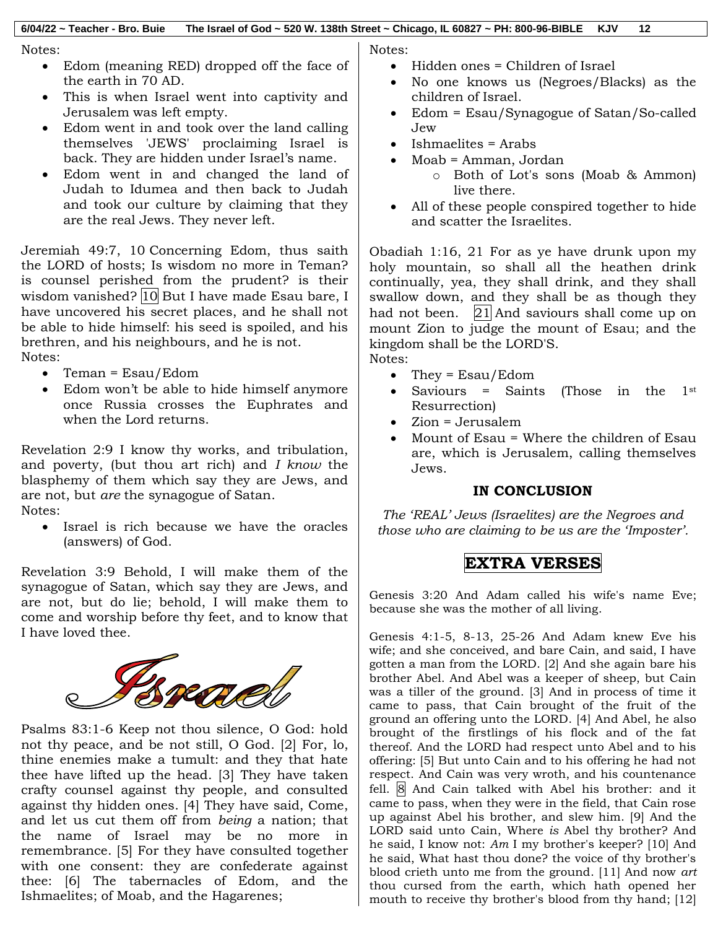Notes:

- Edom (meaning RED) dropped off the face of the earth in 70 AD.
- This is when Israel went into captivity and Jerusalem was left empty.
- Edom went in and took over the land calling themselves 'JEWS' proclaiming Israel is back. They are hidden under Israel's name.
- Edom went in and changed the land of Judah to Idumea and then back to Judah and took our culture by claiming that they are the real Jews. They never left.

Jeremiah 49:7, 10 Concerning Edom, thus saith the LORD of hosts; Is wisdom no more in Teman? is counsel perished from the prudent? is their wisdom vanished? 10 But I have made Esau bare, I have uncovered his secret places, and he shall not be able to hide himself: his seed is spoiled, and his brethren, and his neighbours, and he is not. Notes:

- $\bullet$  Teman = Esau/Edom
- Edom won't be able to hide himself anymore once Russia crosses the Euphrates and when the Lord returns.

Revelation 2:9 I know thy works, and tribulation, and poverty, (but thou art rich) and *I know* the blasphemy of them which say they are Jews, and are not, but *are* the synagogue of Satan. Notes:

 Israel is rich because we have the oracles (answers) of God.

Revelation 3:9 Behold, I will make them of the synagogue of Satan, which say they are Jews, and are not, but do lie; behold, I will make them to come and worship before thy feet, and to know that I have loved thee.



Psalms 83:1-6 Keep not thou silence, O God: hold not thy peace, and be not still, O God. [2] For, lo, thine enemies make a tumult: and they that hate thee have lifted up the head. [3] They have taken crafty counsel against thy people, and consulted against thy hidden ones. [4] They have said, Come, and let us cut them off from *being* a nation; that the name of Israel may be no more in remembrance. [5] For they have consulted together with one consent: they are confederate against thee: [6] The tabernacles of Edom, and the Ishmaelites; of Moab, and the Hagarenes;

Notes:

- Hidden ones = Children of Israel
- No one knows us (Negroes/Blacks) as the children of Israel.
- Edom = Esau/Synagogue of Satan/So-called Jew
- Ishmaelites = Arabs
- Moab = Amman, Jordan
	- o Both of Lot's sons (Moab & Ammon) live there.
- All of these people conspired together to hide and scatter the Israelites.

Obadiah 1:16, 21 For as ye have drunk upon my holy mountain, so shall all the heathen drink continually, yea, they shall drink, and they shall swallow down, and they shall be as though they had not been.  $|21|$  And saviours shall come up on mount Zion to judge the mount of Esau; and the kingdom shall be the LORD'S. Notes:

- They =  $Esau/Edom$
- Saviours = Saints (Those in the  $1<sup>st</sup>$ Resurrection)
- Zion = Jerusalem
- Mount of Esau = Where the children of Esau are, which is Jerusalem, calling themselves Jews.

# **IN CONCLUSION**

*The 'REAL' Jews (Israelites) are the Negroes and those who are claiming to be us are the 'Imposter'.*

# **EXTRA VERSES**

Genesis 3:20 And Adam called his wife's name Eve; because she was the mother of all living.

Genesis 4:1-5, 8-13, 25-26 And Adam knew Eve his wife; and she conceived, and bare Cain, and said, I have gotten a man from the LORD. [2] And she again bare his brother Abel. And Abel was a keeper of sheep, but Cain was a tiller of the ground. [3] And in process of time it came to pass, that Cain brought of the fruit of the ground an offering unto the LORD. [4] And Abel, he also brought of the firstlings of his flock and of the fat thereof. And the LORD had respect unto Abel and to his offering: [5] But unto Cain and to his offering he had not respect. And Cain was very wroth, and his countenance fell. 8 And Cain talked with Abel his brother: and it came to pass, when they were in the field, that Cain rose up against Abel his brother, and slew him. [9] And the LORD said unto Cain, Where *is* Abel thy brother? And he said, I know not: *Am* I my brother's keeper? [10] And he said, What hast thou done? the voice of thy brother's blood crieth unto me from the ground. [11] And now *art* thou cursed from the earth, which hath opened her mouth to receive thy brother's blood from thy hand; [12]